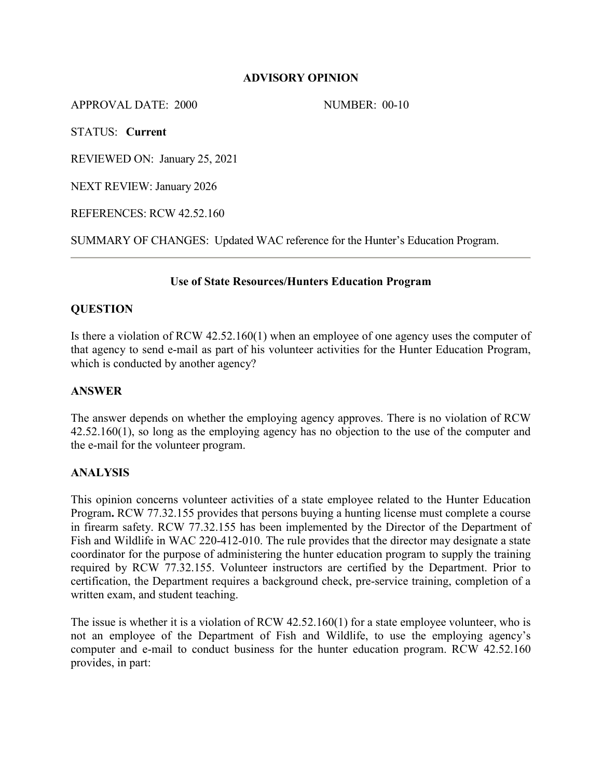### **ADVISORY OPINION**

APPROVAL DATE: 2000 NUMBER: 00-10

STATUS: **Current**

REVIEWED ON: January 25, 2021

NEXT REVIEW: January 2026

REFERENCES: RCW 42.52.160

SUMMARY OF CHANGES: Updated WAC reference for the Hunter's Education Program.

# **Use of State Resources/Hunters Education Program**

# **QUESTION**

Is there a violation of RCW 42.52.160(1) when an employee of one agency uses the computer of that agency to send e-mail as part of his volunteer activities for the Hunter Education Program, which is conducted by another agency?

## **ANSWER**

The answer depends on whether the employing agency approves. There is no violation of RCW 42.52.160(1), so long as the employing agency has no objection to the use of the computer and the e-mail for the volunteer program.

### **ANALYSIS**

This opinion concerns volunteer activities of a state employee related to the Hunter Education Program**.** RCW 77.32.155 provides that persons buying a hunting license must complete a course in firearm safety. RCW 77.32.155 has been implemented by the Director of the Department of Fish and Wildlife in WAC 220-412-010. The rule provides that the director may designate a state coordinator for the purpose of administering the hunter education program to supply the training required by RCW 77.32.155. Volunteer instructors are certified by the Department. Prior to certification, the Department requires a background check, pre-service training, completion of a written exam, and student teaching.

The issue is whether it is a violation of RCW 42.52.160(1) for a state employee volunteer, who is not an employee of the Department of Fish and Wildlife, to use the employing agency's computer and e-mail to conduct business for the hunter education program. RCW 42.52.160 provides, in part: